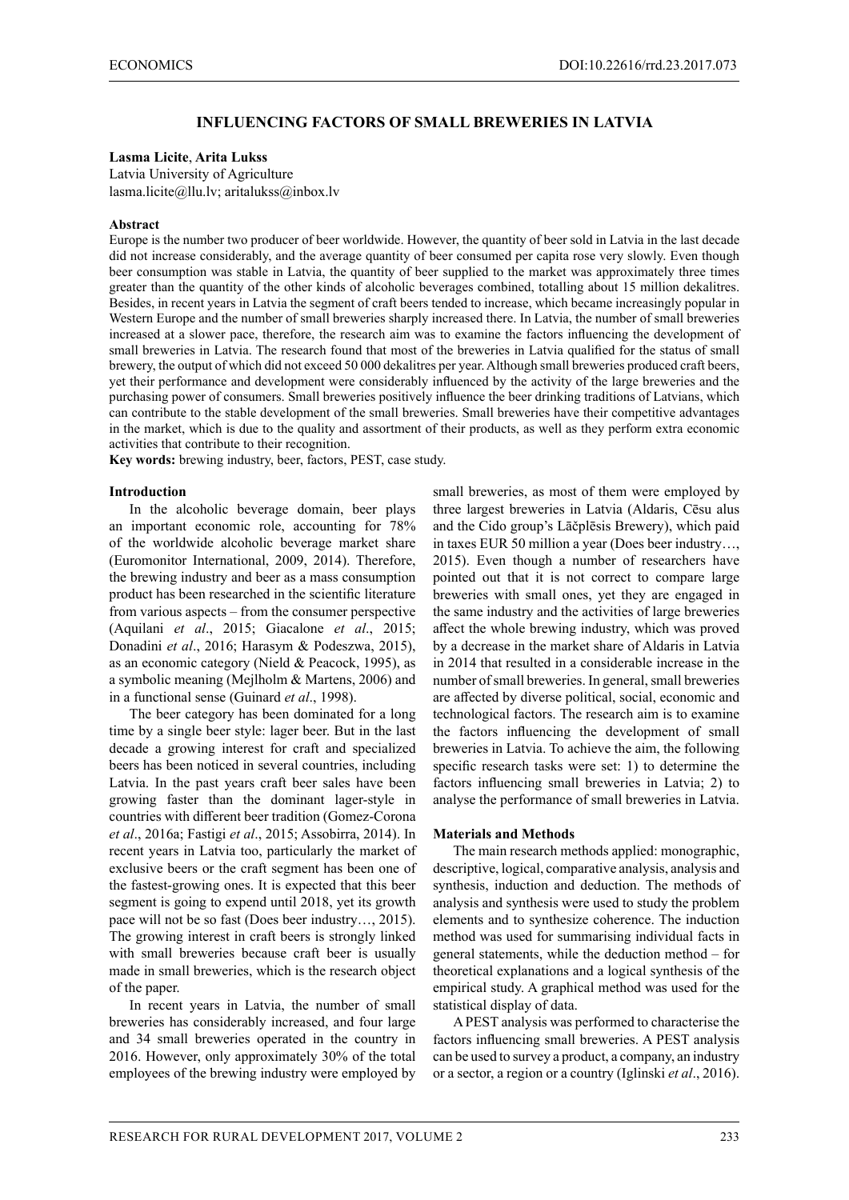## **INFLUENCING FACTORS OF SMALL BREWERIES IN LATVIA**

#### **Lasma Licite**, **Arita Lukss**

Latvia University of Agriculture lasma.licite@llu.lv; aritalukss@inbox.lv

#### **Abstract**

Europe is the number two producer of beer worldwide. However, the quantity of beer sold in Latvia in the last decade did not increase considerably, and the average quantity of beer consumed per capita rose very slowly. Even though beer consumption was stable in Latvia, the quantity of beer supplied to the market was approximately three times greater than the quantity of the other kinds of alcoholic beverages combined, totalling about 15 million dekalitres. Besides, in recent years in Latvia the segment of craft beers tended to increase, which became increasingly popular in Western Europe and the number of small breweries sharply increased there. In Latvia, the number of small breweries increased at a slower pace, therefore, the research aim was to examine the factors influencing the development of small breweries in Latvia. The research found that most of the breweries in Latvia qualified for the status of small brewery, the output of which did not exceed 50 000 dekalitres per year. Although small breweries produced craft beers, yet their performance and development were considerably influenced by the activity of the large breweries and the purchasing power of consumers. Small breweries positively influence the beer drinking traditions of Latvians, which can contribute to the stable development of the small breweries. Small breweries have their competitive advantages in the market, which is due to the quality and assortment of their products, as well as they perform extra economic activities that contribute to their recognition.

**Key words:** brewing industry, beer, factors, PEST, case study.

## **Introduction**

In the alcoholic beverage domain, beer plays an important economic role, accounting for 78% of the worldwide alcoholic beverage market share (Euromonitor International, 2009, 2014). Therefore, the brewing industry and beer as a mass consumption product has been researched in the scientific literature from various aspects – from the consumer perspective (Aquilani *et al*., 2015; Giacalone *et al*., 2015; Donadini *et al*., 2016; Harasym & Podeszwa, 2015), as an economic category (Nield & Peacock, 1995), as a symbolic meaning (Mejlholm & Martens, 2006) and in a functional sense (Guinard *et al*., 1998).

The beer category has been dominated for a long time by a single beer style: lager beer. But in the last decade a growing interest for craft and specialized beers has been noticed in several countries, including Latvia. In the past years craft beer sales have been growing faster than the dominant lager-style in countries with different beer tradition (Gomez-Corona *et al*., 2016a; Fastigi *et al*., 2015; Assobirra, 2014). In recent years in Latvia too, particularly the market of exclusive beers or the craft segment has been one of the fastest-growing ones. It is expected that this beer segment is going to expend until 2018, yet its growth pace will not be so fast (Does beer industry…, 2015). The growing interest in craft beers is strongly linked with small breweries because craft beer is usually made in small breweries, which is the research object of the paper.

In recent years in Latvia, the number of small breweries has considerably increased, and four large and 34 small breweries operated in the country in 2016. However, only approximately 30% of the total employees of the brewing industry were employed by small breweries, as most of them were employed by three largest breweries in Latvia (Aldaris, Cēsu alus and the Cido group's Lāčplēsis Brewery), which paid in taxes EUR 50 million a year (Does beer industry…, 2015). Even though a number of researchers have pointed out that it is not correct to compare large breweries with small ones, yet they are engaged in the same industry and the activities of large breweries affect the whole brewing industry, which was proved by a decrease in the market share of Aldaris in Latvia in 2014 that resulted in a considerable increase in the number of small breweries. In general, small breweries are affected by diverse political, social, economic and technological factors. The research aim is to examine the factors influencing the development of small breweries in Latvia. To achieve the aim, the following specific research tasks were set: 1) to determine the factors influencing small breweries in Latvia; 2) to analyse the performance of small breweries in Latvia.

#### **Materials and Methods**

The main research methods applied: monographic, descriptive, logical, comparative analysis, analysis and synthesis, induction and deduction. The methods of analysis and synthesis were used to study the problem elements and to synthesize coherence. The induction method was used for summarising individual facts in general statements, while the deduction method – for theoretical explanations and a logical synthesis of the empirical study. A graphical method was used for the statistical display of data.

A PEST analysis was performed to characterise the factors influencing small breweries. A PEST analysis can be used to survey a product, a company, an industry or a sector, a region or a country (Iglinski *et al*., 2016).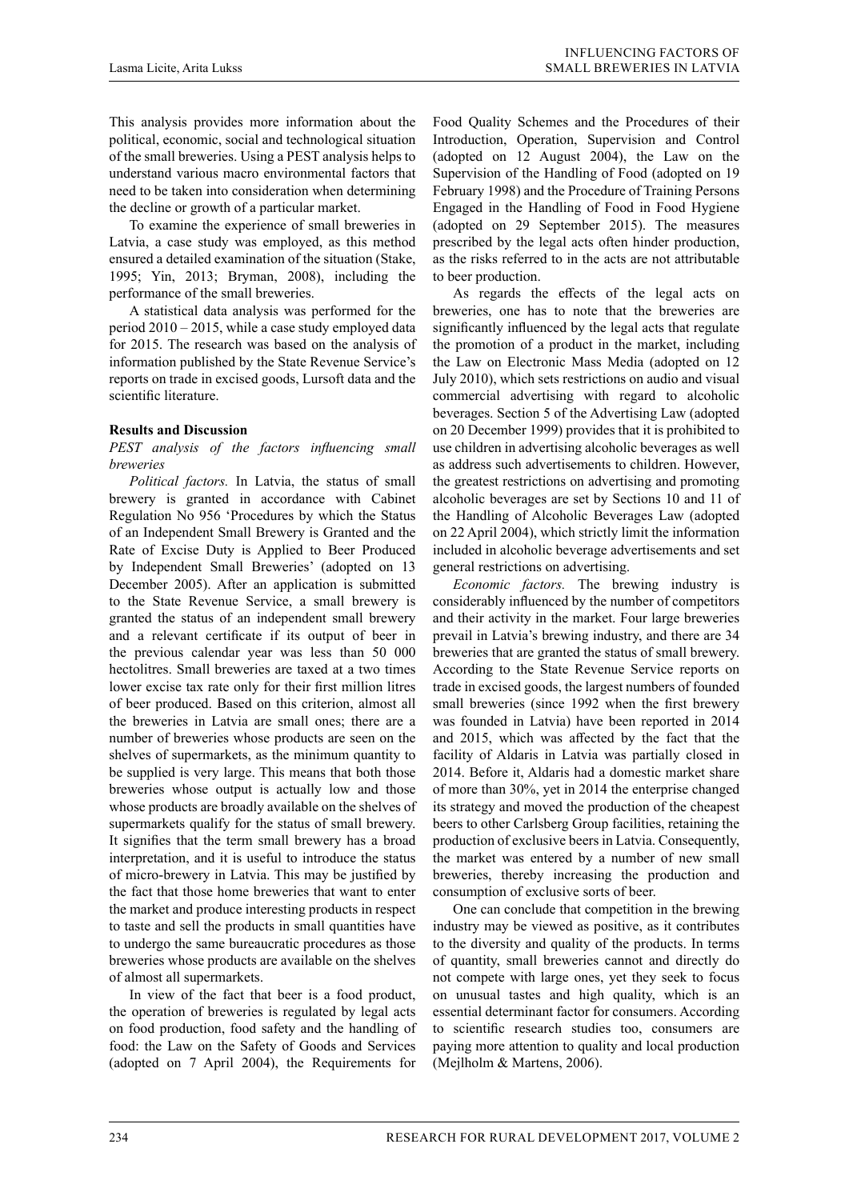This analysis provides more information about the political, economic, social and technological situation of the small breweries. Using a PEST analysis helps to understand various macro environmental factors that need to be taken into consideration when determining the decline or growth of a particular market.

To examine the experience of small breweries in Latvia, a case study was employed, as this method ensured a detailed examination of the situation (Stake, 1995; Yin, 2013; Bryman, 2008), including the performance of the small breweries.

A statistical data analysis was performed for the period 2010 – 2015, while a case study employed data for 2015. The research was based on the analysis of information published by the State Revenue Service's reports on trade in excised goods, Lursoft data and the scientific literature.

## **Results and Discussion**

### *PEST analysis of the factors influencing small breweries*

*Political factors.* In Latvia, the status of small brewery is granted in accordance with Cabinet Regulation No 956 'Procedures by which the Status of an Independent Small Brewery is Granted and the Rate of Excise Duty is Applied to Beer Produced by Independent Small Breweries' (adopted on 13 December 2005). After an application is submitted to the State Revenue Service, a small brewery is granted the status of an independent small brewery and a relevant certificate if its output of beer in the previous calendar year was less than 50 000 hectolitres. Small breweries are taxed at a two times lower excise tax rate only for their first million litres of beer produced. Based on this criterion, almost all the breweries in Latvia are small ones; there are a number of breweries whose products are seen on the shelves of supermarkets, as the minimum quantity to be supplied is very large. This means that both those breweries whose output is actually low and those whose products are broadly available on the shelves of supermarkets qualify for the status of small brewery. It signifies that the term small brewery has a broad interpretation, and it is useful to introduce the status of micro-brewery in Latvia. This may be justified by the fact that those home breweries that want to enter the market and produce interesting products in respect to taste and sell the products in small quantities have to undergo the same bureaucratic procedures as those breweries whose products are available on the shelves of almost all supermarkets.

In view of the fact that beer is a food product, the operation of breweries is regulated by legal acts on food production, food safety and the handling of food: the Law on the Safety of Goods and Services (adopted on 7 April 2004), the Requirements for

Food Quality Schemes and the Procedures of their Introduction, Operation, Supervision and Control (adopted on 12 August 2004), the Law on the Supervision of the Handling of Food (adopted on 19 February 1998) and the Procedure of Training Persons Engaged in the Handling of Food in Food Hygiene (adopted on 29 September 2015). The measures prescribed by the legal acts often hinder production, as the risks referred to in the acts are not attributable to beer production.

As regards the effects of the legal acts on breweries, one has to note that the breweries are significantly influenced by the legal acts that regulate the promotion of a product in the market, including the Law on Electronic Mass Media (adopted on 12 July 2010), which sets restrictions on audio and visual commercial advertising with regard to alcoholic beverages. Section 5 of the Advertising Law (adopted on 20 December 1999) provides that it is prohibited to use children in advertising alcoholic beverages as well as address such advertisements to children. However, the greatest restrictions on advertising and promoting alcoholic beverages are set by Sections 10 and 11 of the Handling of Alcoholic Beverages Law (adopted on 22 April 2004), which strictly limit the information included in alcoholic beverage advertisements and set general restrictions on advertising.

*Economic factors.* The brewing industry is considerably influenced by the number of competitors and their activity in the market. Four large breweries prevail in Latvia's brewing industry, and there are 34 breweries that are granted the status of small brewery. According to the State Revenue Service reports on trade in excised goods, the largest numbers of founded small breweries (since 1992 when the first brewery was founded in Latvia) have been reported in 2014 and 2015, which was affected by the fact that the facility of Aldaris in Latvia was partially closed in 2014. Before it, Aldaris had a domestic market share of more than 30%, yet in 2014 the enterprise changed its strategy and moved the production of the cheapest beers to other Carlsberg Group facilities, retaining the production of exclusive beers in Latvia. Consequently, the market was entered by a number of new small breweries, thereby increasing the production and consumption of exclusive sorts of beer.

One can conclude that competition in the brewing industry may be viewed as positive, as it contributes to the diversity and quality of the products. In terms of quantity, small breweries cannot and directly do not compete with large ones, yet they seek to focus on unusual tastes and high quality, which is an essential determinant factor for consumers. According to scientific research studies too, consumers are paying more attention to quality and local production (Mejlholm & Martens, 2006).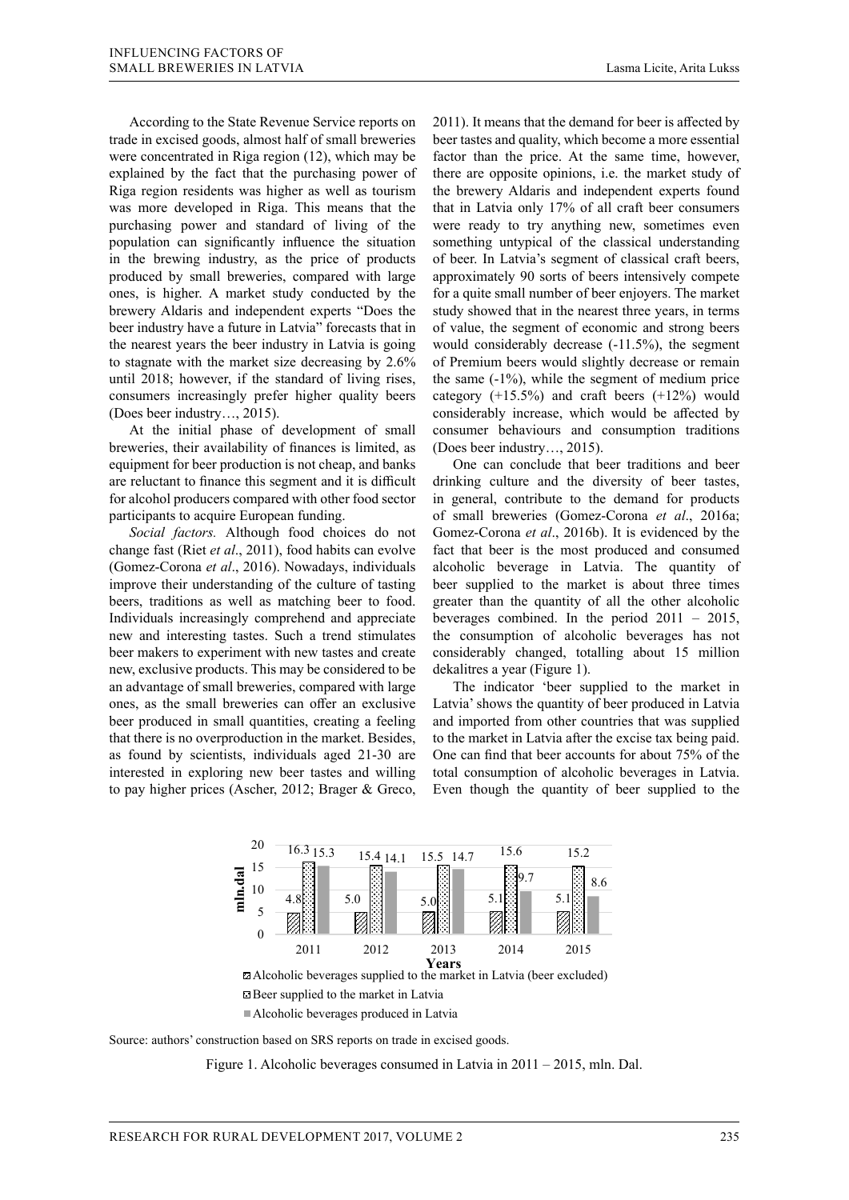According to the State Revenue Service reports on trade in excised goods, almost half of small breweries were concentrated in Riga region (12), which may be explained by the fact that the purchasing power of Riga region residents was higher as well as tourism was more developed in Riga. This means that the purchasing power and standard of living of the population can significantly influence the situation in the brewing industry, as the price of products produced by small breweries, compared with large ones, is higher. A market study conducted by the brewery Aldaris and independent experts "Does the beer industry have a future in Latvia" forecasts that in the nearest years the beer industry in Latvia is going until 2018; however, if the standard of living rises, 2015). consumers increasingly prefer higher quality beers (Does beer industry…, 2015).

At the initial phase of development of small consumer behaviours are breweries, their availability of finances is limited, as (Does beer industry..., 2015). equipment for beer production is not cheap, and banks One can conclude that beer traditions and beer participants to acquire European funding.

*Social factors.* Although food choices do not change fast (Riet *et al.*, 2011), food habits can evolve fact that beer is the most produced and consumed Gomez-Corona *et al.*, 2011), boot mones can every the dial over is the most produced and consumed (Gomez-Corona *et al.*, 2016). Nowadays, individuals alcoholic beverage in Latvia. The quantity of the contract colonia of the culture of tasting the substitution of the market is about three times improve their understanding of the culture of tasting beer supplied to the market is about three times beers, traditions as well as matching beer to food. greater than the quantity of all the other alcoholic Individuals increasingly comprehend and appreciate beverages combined. In the period  $2011 - 2015$ , new and interesting tastes. Such a trend stimulates the consumption of alcoholic beverages has not beer makers to experiment with new tastes and create new, exclusive products. This may be considered to be dekalitres a year (Figure 1). an advantage of small breweries, compared with large The indicator 'beer supplied to the market in ones, as the small breweries can offer an exclusive Latvia'sho beer produced in small quantities, creating a feeling that there is no overproduction in the market. Besides, as found by scientists, individuals aged 21-30 are interested in exploring new beer tastes and willing total consumption of alcoholic beverages in Latvia. beer makers to experiment with new tastes and create considerably changed, totalling about 15 million that there is no overproduction in the market. Besides, to the market in Latvia after the excise tax being paid. as found by scientists, individuals aged 21-30 are One can find that beer accounts for about 75% of the oppose the market studies of the culture of tasking over supplied to the market is about three thirds

to stagnate with the market size decreasing by  $2.6\%$  of Premium beers would slightly decrease or remain 2011). It means that the demand for beer is affected by beer tastes and quality, which become a more essential factor than the price. At the same time, however, there are opposite opinions, i.e. the market study of the brewery Aldaris and independent experts found that in Latvia only 17% of all craft beer consumers were ready to try anything new, sometimes even something untypical of the classical understanding of beer. In Latvia's segment of classical craft beers, approximately 90 sorts of beers intensively compete for a quite small number of beer enjoyers. The market study showed that in the nearest three years, in terms of value, the segment of economic and strong beers would considerably decrease (-11.5%), the segment of Premium beers would slightly decrease or remain the same (-1%), while the segment of medium price onsumers increasingly prefer higher quality beers category (+15.5%) and craft beers (+12%) would (Does beer industry..., 2015). The considerably increase, which would be affected by consumer behaviours and consumption traditions (Does beer industry…, 2015).

are reluctant to finance this segment and it is difficult drinking culture and the diversity of beer tastes, for alcohol producers compared with other food sector in general, contribute to the demand for products One can conclude that beer traditions and beer drinking culture and the diversity of beer tastes, in general, contribute to the demand for products participants to acquire European funding. 
of small breweries (Gomez-Corona *et al.*, 2016a; Government and production in the market. The creating of the market correction of the market. Social factors. Although food choices do not Gomez-Corona *et al.*, 2016b). It is evidenced by the fact that beer is the most produced and consumed alcoholic beverage in Latvia. The quantity of beer supplied to the market is about three times greater than the quantity of all the other alcoholic beverages combined. In the period 2011 – 2015, the consumption of alcoholic beverages has not dekalitres a year (Figure 1).

to pay higher prices (Ascher, 2012; Brager & Greco, Even though the quantity of beer supplied to the The indicator 'beer supplied to the market in Latvia' shows the quantity of beer produced in Latvia eer produced in small quantities, creating a feeling and imported from other countries that was supplied total consumption of alcoholic beverages in Latvia. Even though the quantity of beer supplied to the



Beer supplied to the market in Latvia Alcoholic beverages produced in Latvia

Source: authors' construction based on SRS reports on trade in excised goods. Source: authors' construction based on SRS reports on trade in excised goods.

Figure 1. Alcoholic beverages consumed in Latvia in 2011 – 2015, mln. Dal. Figure 1. Alcoholic beverages consumed in Latvia in 2011 – 2015, mln. Dal.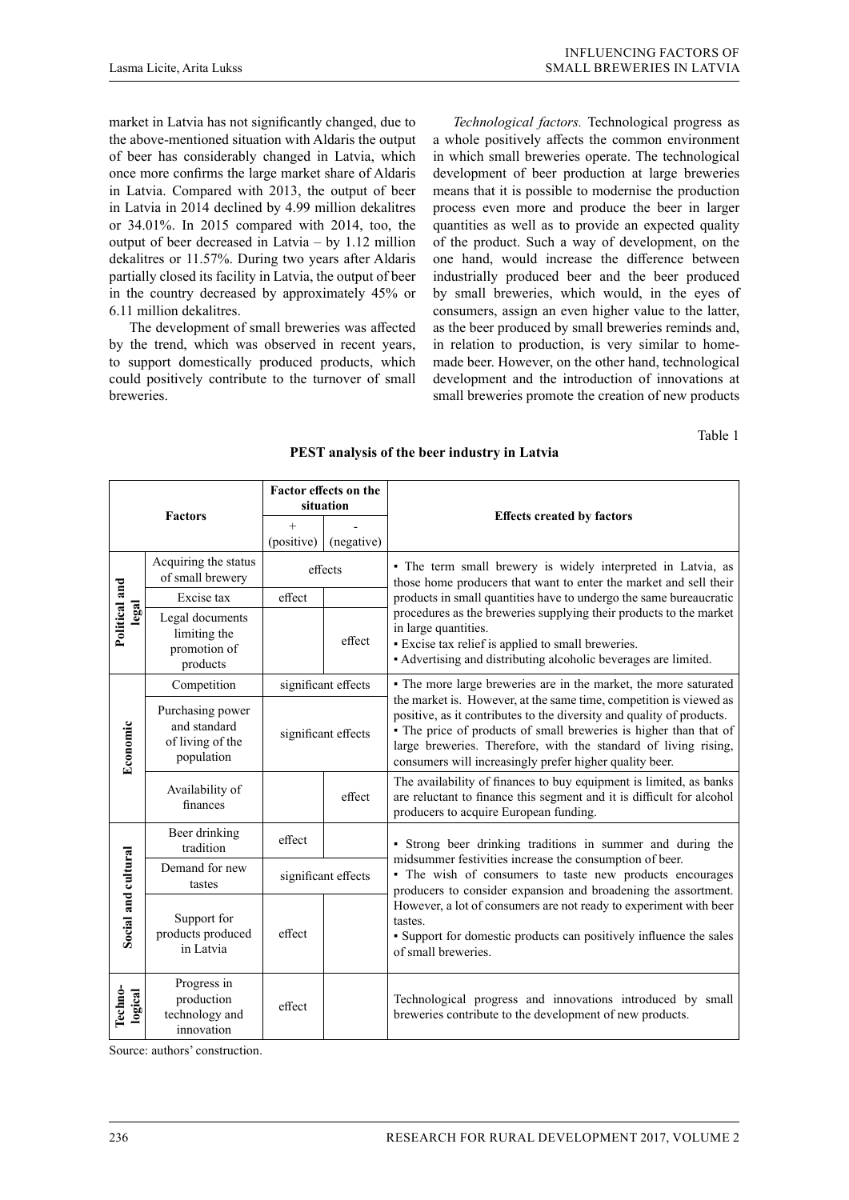market in Latvia has not significantly changed, due to the above-mentioned situation with Aldaris the output of beer has considerably changed in Latvia, which once more confirms the large market share of Aldaris in Latvia. Compared with 2013, the output of beer in Latvia in 2014 declined by 4.99 million dekalitres or 34.01%. In 2015 compared with 2014, too, the output of beer decreased in Latvia – by 1.12 million dekalitres or 11.57%. During two years after Aldaris partially closed its facility in Latvia, the output of beer in the country decreased by approximately 45% or 6.11 million dekalitres.

The development of small breweries was affected by the trend, which was observed in recent years, to support domestically produced products, which could positively contribute to the turnover of small breweries.

*Technological factors.* Technological progress as a whole positively affects the common environment in which small breweries operate. The technological development of beer production at large breweries means that it is possible to modernise the production process even more and produce the beer in larger quantities as well as to provide an expected quality of the product. Such a way of development, on the one hand, would increase the difference between industrially produced beer and the beer produced by small breweries, which would, in the eyes of consumers, assign an even higher value to the latter, as the beer produced by small breweries reminds and, in relation to production, is very similar to homemade beer. However, on the other hand, technological development and the introduction of innovations at small breweries promote the creation of new products

Table 1

| <b>Factors</b>         |                                                                    | Factor effects on the<br>situation |            |                                                                                                                                                                                                                                                                                                                                                |  |  |  |  |
|------------------------|--------------------------------------------------------------------|------------------------------------|------------|------------------------------------------------------------------------------------------------------------------------------------------------------------------------------------------------------------------------------------------------------------------------------------------------------------------------------------------------|--|--|--|--|
|                        |                                                                    | $+$                                |            | <b>Effects created by factors</b>                                                                                                                                                                                                                                                                                                              |  |  |  |  |
|                        |                                                                    | (positive)                         | (negative) |                                                                                                                                                                                                                                                                                                                                                |  |  |  |  |
| Political and<br>legal | Acquiring the status<br>of small brewery                           | effects                            |            | • The term small brewery is widely interpreted in Latvia, as<br>those home producers that want to enter the market and sell their                                                                                                                                                                                                              |  |  |  |  |
|                        | Excise tax                                                         | effect                             |            | products in small quantities have to undergo the same bureaucratic                                                                                                                                                                                                                                                                             |  |  |  |  |
|                        | Legal documents<br>limiting the<br>promotion of<br>products        |                                    | effect     | procedures as the breweries supplying their products to the market<br>in large quantities.<br>• Excise tax relief is applied to small breweries.<br>• Advertising and distributing alcoholic beverages are limited.                                                                                                                            |  |  |  |  |
| Economic               | Competition                                                        | significant effects                |            | • The more large breweries are in the market, the more saturated                                                                                                                                                                                                                                                                               |  |  |  |  |
|                        | Purchasing power<br>and standard<br>of living of the<br>population | significant effects                |            | the market is. However, at the same time, competition is viewed as<br>positive, as it contributes to the diversity and quality of products.<br>• The price of products of small breweries is higher than that of<br>large breweries. Therefore, with the standard of living rising,<br>consumers will increasingly prefer higher quality beer. |  |  |  |  |
|                        | Availability of<br>finances                                        |                                    | effect     | The availability of finances to buy equipment is limited, as banks<br>are reluctant to finance this segment and it is difficult for alcohol<br>producers to acquire European funding.                                                                                                                                                          |  |  |  |  |
|                        | Beer drinking<br>tradition                                         | effect                             |            | · Strong beer drinking traditions in summer and during the                                                                                                                                                                                                                                                                                     |  |  |  |  |
|                        | Demand for new<br>tastes                                           | significant effects                |            | midsummer festivities increase the consumption of beer.<br>• The wish of consumers to taste new products encourages<br>producers to consider expansion and broadening the assortment.                                                                                                                                                          |  |  |  |  |
| Social and cultural    | Support for<br>products produced<br>in Latvia                      | effect                             |            | However, a lot of consumers are not ready to experiment with beer<br>tastes.<br>• Support for domestic products can positively influence the sales<br>of small breweries.                                                                                                                                                                      |  |  |  |  |
| Techno-<br>logical     | Progress in<br>production<br>technology and<br>innovation          | effect                             |            | Technological progress and innovations introduced by small<br>breweries contribute to the development of new products.                                                                                                                                                                                                                         |  |  |  |  |

### **PEST analysis of the beer industry in Latvia**

Source: authors' construction.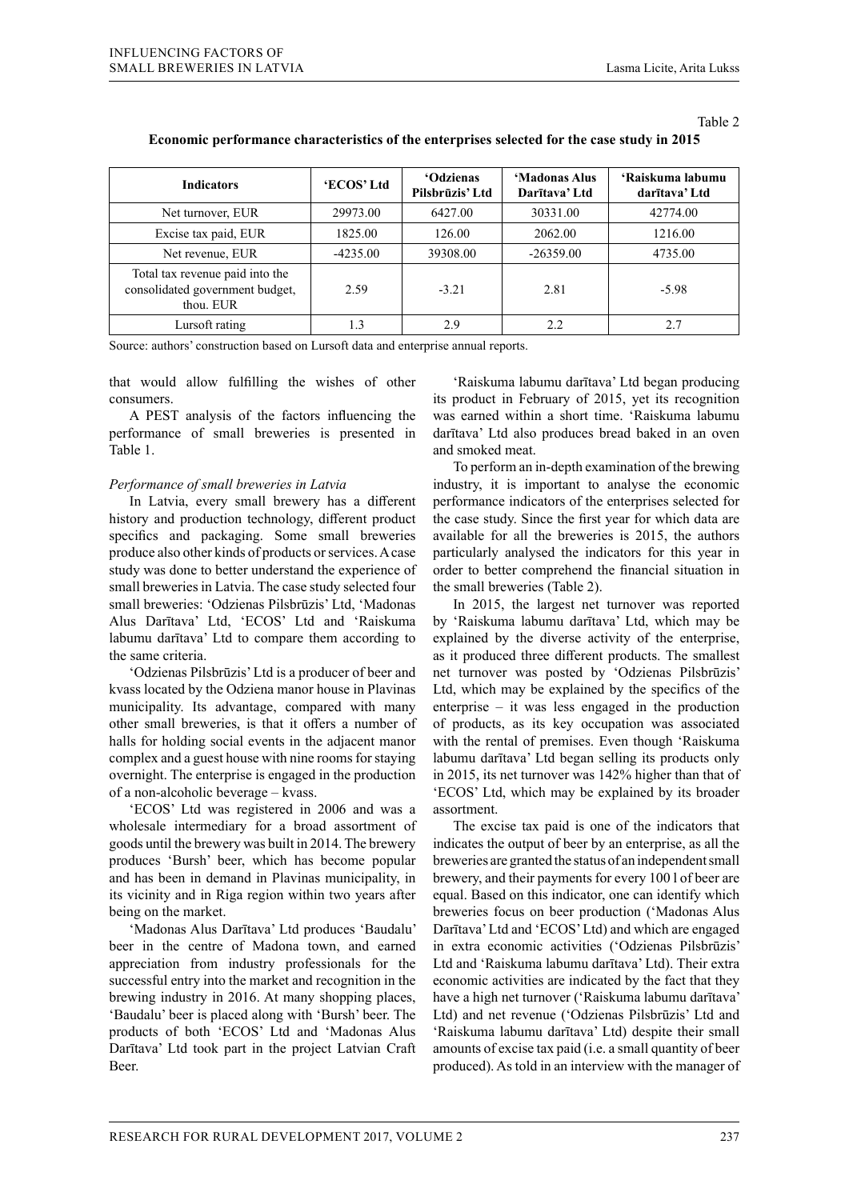Table 2

| <b>Indicators</b>                                                               | 'ECOS' Ltd | <b>'Odzienas</b><br>Pilsbrūzis' Ltd | 'Madonas Alus<br>Darītava' Ltd | 'Raiskuma labumu<br>darītava' Ltd |  |
|---------------------------------------------------------------------------------|------------|-------------------------------------|--------------------------------|-----------------------------------|--|
| Net turnover, EUR                                                               | 29973.00   | 6427.00                             | 30331.00                       | 42774.00                          |  |
| Excise tax paid, EUR                                                            | 1825.00    | 126.00                              | 2062.00                        | 1216.00                           |  |
| Net revenue, EUR                                                                | $-4235.00$ | 39308.00                            | $-26359.00$                    | 4735.00                           |  |
| Total tax revenue paid into the<br>consolidated government budget,<br>thou. EUR | 2.59       | $-3.21$                             | 2.81                           | $-5.98$                           |  |
| Lursoft rating                                                                  |            | 2.9                                 | 2.2.                           |                                   |  |

# **Economic performance characteristics of the enterprises selected for the case study in 2015**

Source: authors' construction based on Lursoft data and enterprise annual reports.

that would allow fulfilling the wishes of other consumers.

A PEST analysis of the factors influencing the performance of small breweries is presented in Table 1.

### *Performance of small breweries in Latvia*

In Latvia, every small brewery has a different history and production technology, different product specifics and packaging. Some small breweries produce also other kinds of products or services. A case study was done to better understand the experience of small breweries in Latvia. The case study selected four small breweries: 'Odzienas Pilsbrūzis' Ltd, 'Madonas Alus Darītava' Ltd, 'ECOS' Ltd and 'Raiskuma labumu darītava' Ltd to compare them according to the same criteria.

'Odzienas Pilsbrūzis' Ltd is a producer of beer and kvass located by the Odziena manor house in Plavinas municipality. Its advantage, compared with many other small breweries, is that it offers a number of halls for holding social events in the adjacent manor complex and a guest house with nine rooms for staying overnight. The enterprise is engaged in the production of a non-alcoholic beverage – kvass.

'ECOS' Ltd was registered in 2006 and was a wholesale intermediary for a broad assortment of goods until the brewery was built in 2014. The brewery produces 'Bursh' beer, which has become popular and has been in demand in Plavinas municipality, in its vicinity and in Riga region within two years after being on the market.

'Madonas Alus Darītava' Ltd produces 'Baudalu' beer in the centre of Madona town, and earned appreciation from industry professionals for the successful entry into the market and recognition in the brewing industry in 2016. At many shopping places, 'Baudalu' beer is placed along with 'Bursh' beer. The products of both 'ECOS' Ltd and 'Madonas Alus Darītava' Ltd took part in the project Latvian Craft Beer.

'Raiskuma labumu darītava' Ltd began producing its product in February of 2015, yet its recognition was earned within a short time. 'Raiskuma labumu darītava' Ltd also produces bread baked in an oven and smoked meat.

To perform an in-depth examination of the brewing industry, it is important to analyse the economic performance indicators of the enterprises selected for the case study. Since the first year for which data are available for all the breweries is 2015, the authors particularly analysed the indicators for this year in order to better comprehend the financial situation in the small breweries (Table 2).

In 2015, the largest net turnover was reported by 'Raiskuma labumu darītava' Ltd, which may be explained by the diverse activity of the enterprise, as it produced three different products. The smallest net turnover was posted by 'Odzienas Pilsbrūzis' Ltd, which may be explained by the specifics of the enterprise – it was less engaged in the production of products, as its key occupation was associated with the rental of premises. Even though 'Raiskuma labumu darītava' Ltd began selling its products only in 2015, its net turnover was 142% higher than that of 'ECOS' Ltd, which may be explained by its broader assortment.

The excise tax paid is one of the indicators that indicates the output of beer by an enterprise, as all the breweries are granted the status of an independent small brewery, and their payments for every 100 l of beer are equal. Based on this indicator, one can identify which breweries focus on beer production ('Madonas Alus Darītava' Ltd and 'ECOS' Ltd) and which are engaged in extra economic activities ('Odzienas Pilsbrūzis' Ltd and 'Raiskuma labumu darītava' Ltd). Their extra economic activities are indicated by the fact that they have a high net turnover ('Raiskuma labumu darītava' Ltd) and net revenue ('Odzienas Pilsbrūzis' Ltd and 'Raiskuma labumu darītava' Ltd) despite their small amounts of excise tax paid (i.e. a small quantity of beer produced). As told in an interview with the manager of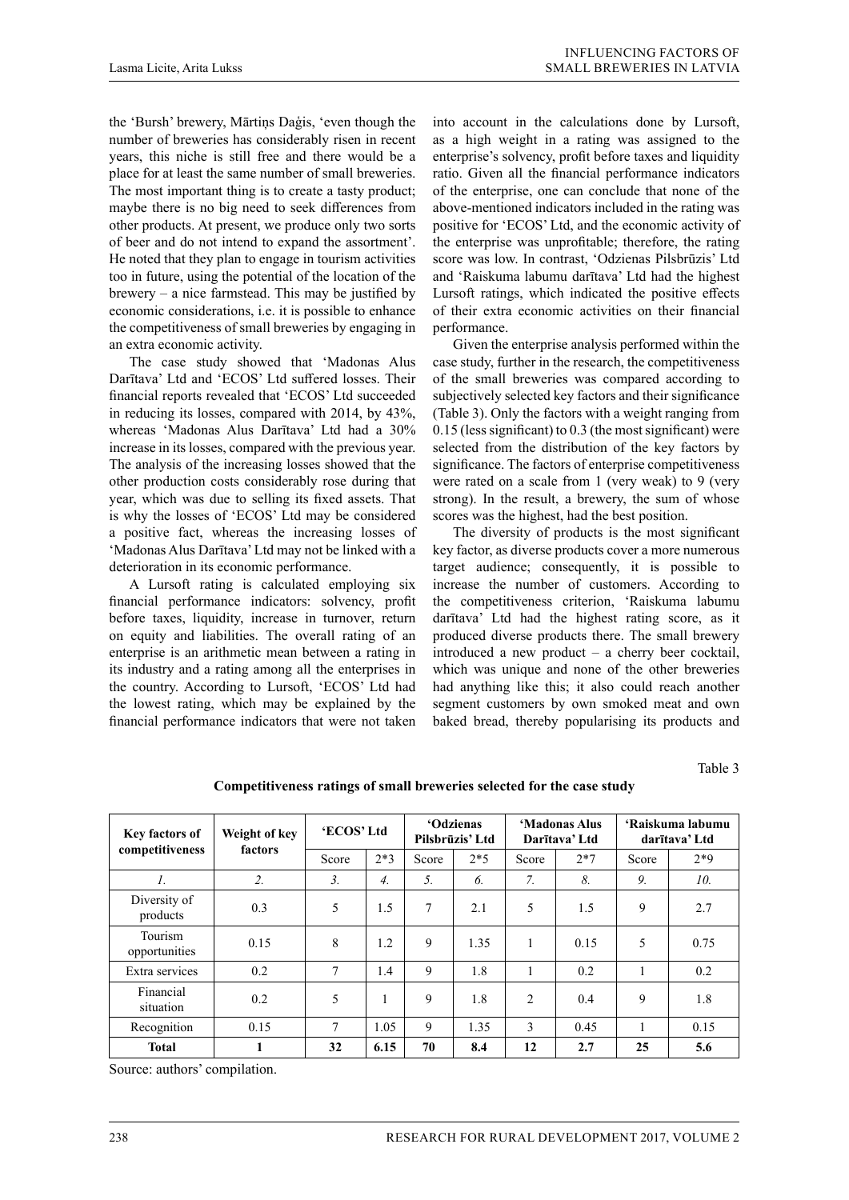the 'Bursh' brewery, Mārtiņs Daģis, 'even though the number of breweries has considerably risen in recent years, this niche is still free and there would be a place for at least the same number of small breweries. The most important thing is to create a tasty product; maybe there is no big need to seek differences from other products. At present, we produce only two sorts of beer and do not intend to expand the assortment'. He noted that they plan to engage in tourism activities too in future, using the potential of the location of the brewery – a nice farmstead. This may be justified by economic considerations, i.e. it is possible to enhance the competitiveness of small breweries by engaging in an extra economic activity.

The case study showed that 'Madonas Alus Darītava' Ltd and 'ECOS' Ltd suffered losses. Their financial reports revealed that 'ECOS' Ltd succeeded in reducing its losses, compared with 2014, by 43%, whereas 'Madonas Alus Darītava' Ltd had a 30% increase in its losses, compared with the previous year. The analysis of the increasing losses showed that the other production costs considerably rose during that year, which was due to selling its fixed assets. That is why the losses of 'ECOS' Ltd may be considered a positive fact, whereas the increasing losses of 'Madonas Alus Darītava' Ltd may not be linked with a deterioration in its economic performance.

A Lursoft rating is calculated employing six financial performance indicators: solvency, profit before taxes, liquidity, increase in turnover, return on equity and liabilities. The overall rating of an enterprise is an arithmetic mean between a rating in its industry and a rating among all the enterprises in the country. According to Lursoft, 'ECOS' Ltd had the lowest rating, which may be explained by the financial performance indicators that were not taken

into account in the calculations done by Lursoft, as a high weight in a rating was assigned to the enterprise's solvency, profit before taxes and liquidity ratio. Given all the financial performance indicators of the enterprise, one can conclude that none of the above-mentioned indicators included in the rating was positive for 'ECOS' Ltd, and the economic activity of the enterprise was unprofitable; therefore, the rating score was low. In contrast, 'Odzienas Pilsbrūzis' Ltd and 'Raiskuma labumu darītava' Ltd had the highest Lursoft ratings, which indicated the positive effects of their extra economic activities on their financial performance.

Given the enterprise analysis performed within the case study, further in the research, the competitiveness of the small breweries was compared according to subjectively selected key factors and their significance (Table 3). Only the factors with a weight ranging from 0.15 (less significant) to 0.3 (the most significant) were selected from the distribution of the key factors by significance. The factors of enterprise competitiveness were rated on a scale from 1 (very weak) to 9 (very strong). In the result, a brewery, the sum of whose scores was the highest, had the best position.

The diversity of products is the most significant key factor, as diverse products cover a more numerous target audience; consequently, it is possible to increase the number of customers. According to the competitiveness criterion, 'Raiskuma labumu darītava' Ltd had the highest rating score, as it produced diverse products there. The small brewery introduced a new product – a cherry beer cocktail, which was unique and none of the other breweries had anything like this; it also could reach another segment customers by own smoked meat and own baked bread, thereby popularising its products and

Table 3

| Key factors of           | Weight of key<br>factors | 'ECOS' Ltd       |                  | <b>'Odzienas</b><br>Pilsbrūzis' Ltd |       | 'Madonas Alus<br>Darītava' Ltd |       | 'Raiskuma labumu<br>darītava' Ltd |       |
|--------------------------|--------------------------|------------------|------------------|-------------------------------------|-------|--------------------------------|-------|-----------------------------------|-------|
| competitiveness          |                          | Score            | $2*3$            | Score                               | $2*5$ | Score                          | $2*7$ | Score                             | $2*9$ |
| $\mathcal{I}$ .          | $\overline{2}$ .         | $\mathfrak{Z}$ . | $\overline{4}$ . | 5.                                  | 6.    | 7 <sub>1</sub>                 | 8.    | 9.                                | 10.   |
| Diversity of<br>products | 0.3                      | 5                | 1.5              | 7                                   | 2.1   | 5                              | 1.5   | 9                                 | 2.7   |
| Tourism<br>opportunities | 0.15                     | 8                | 1.2              | 9                                   | 1.35  | 1                              | 0.15  | 5                                 | 0.75  |
| Extra services           | 0.2                      | $\overline{7}$   | 1.4              | 9                                   | 1.8   |                                | 0.2   |                                   | 0.2   |
| Financial<br>situation   | 0.2                      | 5                | -1<br>-1         | 9                                   | 1.8   | $\overline{c}$                 | 0.4   | 9                                 | 1.8   |
| Recognition              | 0.15                     | 7                | 1.05             | 9                                   | 1.35  | 3                              | 0.45  |                                   | 0.15  |
| <b>Total</b>             |                          | 32               | 6.15             | 70                                  | 8.4   | 12                             | 2.7   | 25                                | 5.6   |

**Competitiveness ratings of small breweries selected for the case study**

Source: authors' compilation.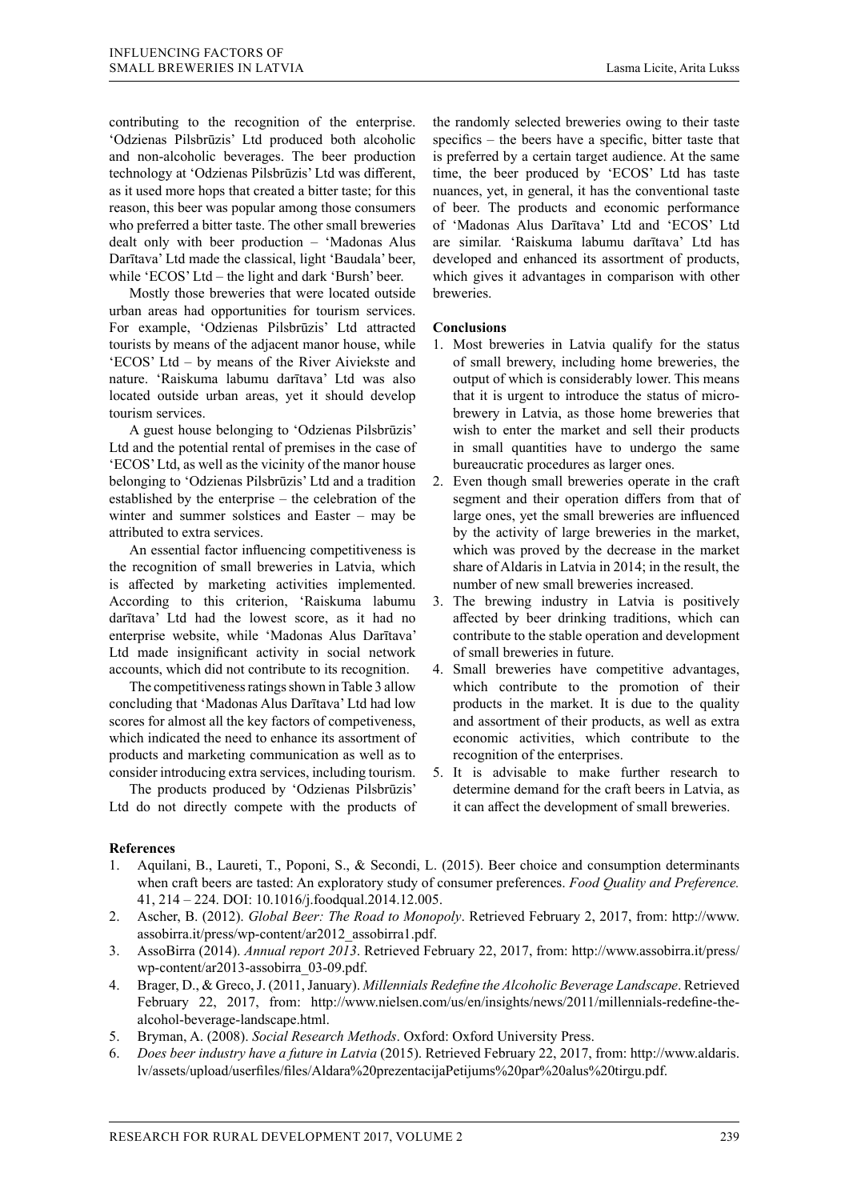contributing to the recognition of the enterprise. 'Odzienas Pilsbrūzis' Ltd produced both alcoholic and non-alcoholic beverages. The beer production technology at 'Odzienas Pilsbrūzis' Ltd was different, as it used more hops that created a bitter taste; for this reason, this beer was popular among those consumers who preferred a bitter taste. The other small breweries dealt only with beer production – 'Madonas Alus Darītava' Ltd made the classical, light 'Baudala' beer, while 'ECOS' Ltd – the light and dark 'Bursh' beer.

Mostly those breweries that were located outside urban areas had opportunities for tourism services. For example, 'Odzienas Pilsbrūzis' Ltd attracted tourists by means of the adjacent manor house, while 'ECOS' Ltd – by means of the River Aiviekste and nature. 'Raiskuma labumu darītava' Ltd was also located outside urban areas, yet it should develop tourism services.

A guest house belonging to 'Odzienas Pilsbrūzis' Ltd and the potential rental of premises in the case of 'ECOS' Ltd, as well as the vicinity of the manor house belonging to 'Odzienas Pilsbrūzis' Ltd and a tradition established by the enterprise – the celebration of the winter and summer solstices and Easter – may be attributed to extra services.

An essential factor influencing competitiveness is the recognition of small breweries in Latvia, which is affected by marketing activities implemented. According to this criterion, 'Raiskuma labumu darītava' Ltd had the lowest score, as it had no enterprise website, while 'Madonas Alus Darītava' Ltd made insignificant activity in social network accounts, which did not contribute to its recognition.

The competitiveness ratings shown in Table 3 allow concluding that 'Madonas Alus Darītava' Ltd had low scores for almost all the key factors of competiveness, which indicated the need to enhance its assortment of products and marketing communication as well as to consider introducing extra services, including tourism.

The products produced by 'Odzienas Pilsbrūzis' Ltd do not directly compete with the products of

the randomly selected breweries owing to their taste specifics – the beers have a specific, bitter taste that is preferred by a certain target audience. At the same time, the beer produced by 'ECOS' Ltd has taste nuances, yet, in general, it has the conventional taste of beer. The products and economic performance of 'Madonas Alus Darītava' Ltd and 'ECOS' Ltd are similar. 'Raiskuma labumu darītava' Ltd has developed and enhanced its assortment of products, which gives it advantages in comparison with other breweries.

## **Conclusions**

- 1. Most breweries in Latvia qualify for the status of small brewery, including home breweries, the output of which is considerably lower. This means that it is urgent to introduce the status of microbrewery in Latvia, as those home breweries that wish to enter the market and sell their products in small quantities have to undergo the same bureaucratic procedures as larger ones.
- 2. Even though small breweries operate in the craft segment and their operation differs from that of large ones, yet the small breweries are influenced by the activity of large breweries in the market, which was proved by the decrease in the market share of Aldaris in Latvia in 2014; in the result, the number of new small breweries increased.
- 3. The brewing industry in Latvia is positively affected by beer drinking traditions, which can contribute to the stable operation and development of small breweries in future.
- 4. Small breweries have competitive advantages, which contribute to the promotion of their products in the market. It is due to the quality and assortment of their products, as well as extra economic activities, which contribute to the recognition of the enterprises.
- 5. It is advisable to make further research to determine demand for the craft beers in Latvia, as it can affect the development of small breweries.

## **References**

- 1. Aquilani, B., Laureti, T., Poponi, S., & Secondi, L. (2015). Beer choice and consumption determinants when craft beers are tasted: An exploratory study of consumer preferences. *Food Quality and Preference.*  41, 214 – 224. DOI: 10.1016/j.foodqual.2014.12.005.
- 2. Ascher, B. (2012). *Global Beer: The Road to Monopoly*. Retrieved February 2, 2017, from: http://www. assobirra.it/press/wp-content/ar2012\_assobirra1.pdf.
- 3. AssoBirra (2014). *Annual report 2013*. Retrieved February 22, 2017, from: http://www.assobirra.it/press/ wp-content/ar2013-assobirra\_03-09.pdf.
- 4. Brager, D., & Greco, J. (2011, January). *Millennials Redefine the Alcoholic Beverage Landscape*. Retrieved February 22, 2017, from: http://www.nielsen.com/us/en/insights/news/2011/millennials-redefine-thealcohol-beverage-landscape.html.
- 5. Bryman, A. (2008). *Social Research Methods*. Oxford: Oxford University Press.
- 6. *Does beer industry have a future in Latvia* (2015). Retrieved February 22, 2017, from: http://www.aldaris. lv/assets/upload/userfiles/files/Aldara%20prezentacijaPetijums%20par%20alus%20tirgu.pdf.